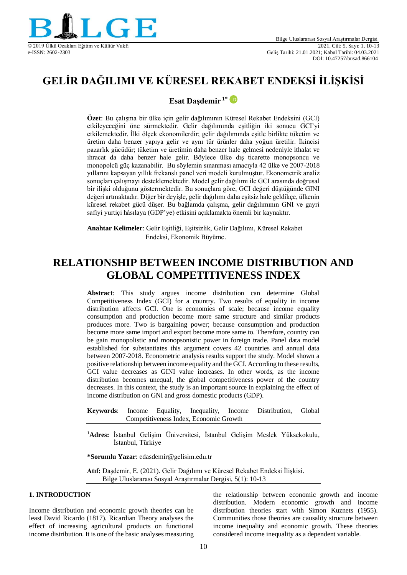

# **GELİR DAĞILIMI VE KÜRESEL REKABET ENDEKSİ İLİŞKİSİ**

### **Esat Daşdemir 1\***

**Özet**: Bu çalışma bir ülke için gelir dağılımının Küresel Rekabet Endeksini (GCI) etkileyeceğini öne sürmektedir. Gelir dağılımında eşitliğin iki sonucu GCI'yi etkilemektedir. İlki ölçek ekonomilerdir; gelir dağılımında eşitle birlikte tüketim ve üretim daha benzer yapıya gelir ve aynı tür ürünler daha yoğun üretilir. İkincisi pazarlık gücüdür; tüketim ve üretimin daha benzer hale gelmesi nedeniyle ithalat ve ihracat da daha benzer hale gelir. Böylece ülke dış ticarette monopsoncu ve monopolcü güç kazanabilir. Bu söylemin sınanması amacıyla 42 ülke ve 2007-2018 yıllarını kapsayan yıllık frekanslı panel veri modeli kurulmuştur. Ekonometrik analiz sonuçları çalışmayı desteklemektedir. Model gelir dağılımı ile GCI arasında doğrusal bir ilişki olduğunu göstermektedir. Bu sonuçlara göre, GCI değeri düştüğünde GINI değeri artmaktadır. Diğer bir deyişle, gelir dağılımı daha eşitsiz hale geldikçe, ülkenin küresel rekabet gücü düşer. Bu bağlamda çalışma, gelir dağılımının GNI ve gayri safiyi yurtiçi hâsılaya (GDP'ye) etkisini açıklamakta önemli bir kaynaktır.

**Anahtar Kelimeler**: Gelir Eşitliği, Eşitsizlik, Gelir Dağılımı, Küresel Rekabet Endeksi, Ekonomik Büyüme.

## **RELATIONSHIP BETWEEN INCOME DISTRIBUTION AND GLOBAL COMPETITIVENESS INDEX**

**Abstract**: This study argues income distribution can determine Global Competitiveness Index (GCI) for a country. Two results of equality in income distribution affects GCI. One is economies of scale; because income equality consumption and production become more same structure and similar products produces more. Two is bargaining power; because consumption and production become more same import and export become more same to. Therefore, country can be gain monopolistic and monopsonistic power in foreign trade. Panel data model established for substantiates this argument covers 42 countries and annual data between 2007-2018. Econometric analysis results support the study. Model shown a positive relationship between income equality and the GCI. According to these results, GCI value decreases as GINI value increases. In other words, as the income distribution becomes unequal, the global competitiveness power of the country decreases. In this context, the study is an important source in explaining the effect of income distribution on GNI and gross domestic products (GDP).

- **Keywords**: Income Equality, Inequality, Income Distribution, Global Competitiveness Index, Economic Growth
- **<sup>1</sup>Adres:** İstanbul Gelişim Üniversitesi, İstanbul Gelişim Meslek Yüksekokulu, İstanbul, Türkiye

**\*Sorumlu Yazar**: edasdemir@gelisim.edu.tr

**Atıf:** Daşdemir, E. (2021). Gelir Dağılımı ve Küresel Rekabet Endeksi İlişkisi. Bilge Uluslararası Sosyal Araştırmalar Dergisi, 5(1): 10-13

#### **1. INTRODUCTION**

Income distribution and economic growth theories can be least David Ricardo (1817). Ricardian Theory analyses the effect of increasing agricultural products on functional income distribution. It is one of the basic analyses measuring the relationship between economic growth and income distribution. Modern economic growth and income distribution theories start with Simon Kuznets (1955). Communities those theories are causality structure between income inequality and economic growth. These theories considered income inequality as a dependent variable.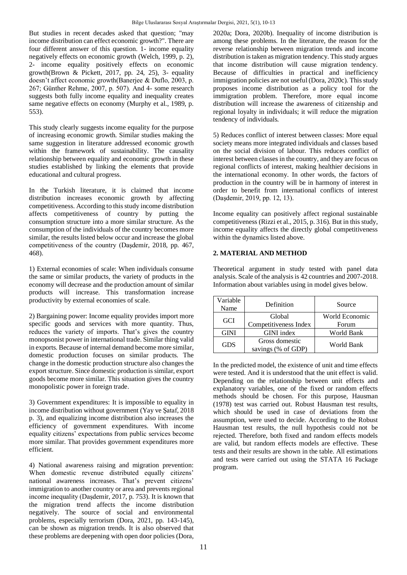But studies in recent decades asked that question; "may income distribution can effect economic growth?". There are four different answer of this question. 1- income equality negatively effects on economic growth (Welch, 1999, p. 2), 2- income equality positively effects on economic growth(Brown & Pickett, 2017, pp. 24, 25), 3- equality doesn't affect economic growth(Banerjee & Duflo, 2003, p. 267; Günther Rehme, 2007, p. 507). And 4- some research suggests both fully income equality and inequality creates same negative effects on economy (Murphy et al., 1989, p. 553).

This study clearly suggests income equality for the purpose of increasing economic growth. Similar studies making the same suggestion in literature addressed economic growth within the framework of sustainability. The causality relationship between equality and economic growth in these studies established by linking the elements that provide educational and cultural progress.

In the Turkish literature, it is claimed that income distribution increases economic growth by affecting competitiveness. According to this study income distribution affects competitiveness of country by putting the consumption structure into a more similar structure. As the consumption of the individuals of the country becomes more similar, the results listed below occur and increase the global competitiveness of the country (Daşdemı̇r, 2018, pp. 467, 468).

1) External economies of scale: When individuals consume the same or similar products, the variety of products in the economy will decrease and the production amount of similar products will increase. This transformation increase productivity by external economies of scale.

2) Bargaining power: Income equality provides import more specific goods and services with more quantity. Thus, reduces the variety of imports. That's gives the country monopsonist power in international trade. Similar thing valid in exports. Because of internal demand become more similar, domestic production focuses on similar products. The change in the domestic production structure also changes the export structure. Since domestic production is similar, export goods become more similar. This situation gives the country monopolistic power in foreign trade.

3) Government expenditures: It is impossible to equality in income distribution without government (Yay ve Şataf, 2018 p. 3), and equalizing income distribution also increases the efficiency of government expenditures. With income equality citizens' expectations from public services become more similar. That provides government expenditures more efficient.

4) National awareness raising and migration prevention: When domestic revenue distributed equally citizens' national awareness increases. That's prevent citizens' immigration to another country or area and prevents regional income inequality (Daşdemı̇r, 2017, p. 753). It is known that the migration trend affects the income distribution negatively. The source of social and environmental problems, especially terrorism (Dora, 2021, pp. 143-145), can be shown as migration trends. It is also observed that these problems are deepening with open door policies (Dora,

2020a; Dora, 2020b). Inequality of income distribution is among these problems. In the literature, the reason for the reverse relationship between migration trends and income distribution is taken as migration tendency. This study argues that income distribution will cause migration tendency. Because of difficulties in practical and inefficiency immigration policies are not useful (Dora, 2020c). This study proposes income distribution as a policy tool for the immigration problem. Therefore, more equal income distribution will increase the awareness of citizenship and regional loyalty in individuals; it will reduce the migration tendency of individuals.

5) Reduces conflict of interest between classes: More equal society means more integrated individuals and classes based on the social division of labour. This reduces conflict of interest between classes in the country, and they are focus on regional conflicts of interest, making healthier decisions in the international economy. In other words, the factors of production in the country will be in harmony of interest in order to benefit from international conflicts of interest (Daşdemir, 2019, pp. 12, 13).

Income equality can positively affect regional sustainable competitiveness (Rizzi et al., 2015, p. 316). But in this study, income equality affects the directly global competitiveness within the dynamics listed above.

#### **2. MATERIAL AND METHOD**

Theoretical argument in study tested with panel data analysis. Scale of the analysis is 42 countries and 2007-2018. Information about variables using in model gives below.

| Variable<br>Name | Definition                           | Source                  |  |
|------------------|--------------------------------------|-------------------------|--|
| <b>GCI</b>       | Global<br>Competitiveness Index      | World Economic<br>Forum |  |
| <b>GINI</b>      | GINI index                           | World Bank              |  |
| GDS              | Gross domestic<br>savings (% of GDP) | World Bank              |  |

In the predicted model, the existence of unit and time effects were tested. And it is understood that the unit effect is valid. Depending on the relationship between unit effects and explanatory variables, one of the fixed or random effects methods should be chosen. For this purpose, Hausman (1978) test was carried out. Robust Hausman test results, which should be used in case of deviations from the assumption, were used to decide. According to the Robust Hausman test results, the null hypothesis could not be rejected. Therefore, both fixed and random effects models are valid, but random effects models are effective. These tests and their results are shown in the table. All estimations and tests were carried out using the STATA 16 Package program.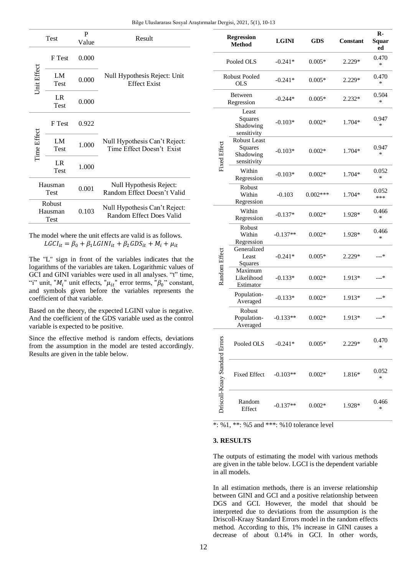| Test                      |            | P<br>Value | Result                                                     |  |
|---------------------------|------------|------------|------------------------------------------------------------|--|
| Jnit Effect               | F Test     | 0.000      |                                                            |  |
|                           | LM<br>Test | 0.000      | Null Hypothesis Reject: Unit<br><b>Effect Exist</b>        |  |
|                           | LR<br>Test | 0.000      |                                                            |  |
| Time Effect               | F Test     | 0.922      | Null Hypothesis Can't Reject:<br>Time Effect Doesn't Exist |  |
|                           | LM<br>Test | 1.000      |                                                            |  |
|                           | LR<br>Test | 1.000      |                                                            |  |
| Hausman<br>Test           |            | 0.001      | Null Hypothesis Reject:<br>Random Effect Doesn't Valid     |  |
| Robust<br>Hausman<br>Test |            | 0.103      | Null Hypothesis Can't Reject:<br>Random Effect Does Valid  |  |

The model where the unit effects are valid is as follows.  $LGCI_{it} = \beta_0 + \beta_1 LGINI_{it} + \beta_2 GDS_{it} + M_i + \mu_{it}$ 

The "L" sign in front of the variables indicates that the logarithms of the variables are taken. Logarithmic values of GCI and GINI variables were used in all analyses. "t" time, "i" unit, " $M_i$ " unit effects, " $\mu_{it}$ " error terms, " $\beta_0$ " constant, and symbols given before the variables represents the coefficient of that variable.

Based on the theory, the expected LGINI value is negative. And the coefficient of the GDS variable used as the control variable is expected to be positive.

Since the effective method is random effects, deviations from the assumption in the model are tested accordingly. Results are given in the table below.

| <b>Regression</b><br><b>Method</b> |                                                            | <b>LGINI</b> | GDS               | Constant | $\mathbf{R}$<br>Squar<br>ed |
|------------------------------------|------------------------------------------------------------|--------------|-------------------|----------|-----------------------------|
| Pooled OLS                         |                                                            | $-0.241*$    | $0.005*$          | 2.229*   | 0.470<br>*                  |
| Robust Pooled<br><b>OLS</b>        |                                                            | $-0.241*$    | $0.005*$          | 2.229*   | 0.470<br>*                  |
| Between<br>Regression              |                                                            | $-0.244*$    | $0.005*$          | $2.232*$ | 0.504<br>*                  |
| <b>Fixed Effect</b>                | Least<br>Squares<br>Shadowing<br>sensitivity               | $-0.103*$    | $0.002*$          | 1.704*   | 0.947<br>*                  |
|                                    | <b>Robust Least</b><br>Squares<br>Shadowing<br>sensitivity | $-0.103*$    | $0.002*$          | 1.704*   | 0.947<br>*                  |
|                                    | Within<br>Regression                                       | $-0.103*$    | $0.002*$          | 1.704*   | 0.052<br>*                  |
|                                    | Robust<br>Within<br>Regression                             | $-0.103$     | $0.002***$        | 1.704*   | 0.052<br>***                |
| Random Effect                      | Within<br>Regression                                       | -0.137*      | $0.002*$          | 1.928*   | 0.466<br>*                  |
|                                    | Robust<br>Within<br>Regression                             | $-0.137**$   | $0.002*$          | 1.928*   | 0.466<br>*                  |
|                                    | Generalized<br>Least<br>Squares                            | $-0.241*$    | $0.005*$          | $2.229*$ | ---*                        |
|                                    | Maximum<br>Likelihood<br>Estimator                         | $-0.133*$    | $0.002*$          | 1.913*   | ---*                        |
|                                    | Population-<br>Averaged                                    | $-0.133*$    | $0.002*$          | 1.913*   | ---*                        |
|                                    | Robust<br>Population-<br>Averaged                          | $-0.133**$   | $0.002*$          | 1.913*   | ---*                        |
| Driscoll-Kraay Standard Errors     | Pooled OLS                                                 | $-0.241*$    | $0.005*$          | $2.229*$ | 0.470<br>*                  |
|                                    | <b>Fixed Effect</b>                                        | $-0.103**$   | $0.002*$          | 1.816*   | 0.052<br>*                  |
|                                    | Random<br>Effect                                           | $-0.137**$   | $0.002\mathrm{*}$ | 1.928*   | 0.466<br>*                  |

\*: %1, \*\*: %5 and \*\*\*: %10 tolerance level

#### **3. RESULTS**

The outputs of estimating the model with various methods are given in the table below. LGCI is the dependent variable in all models.

In all estimation methods, there is an inverse relationship between GINI and GCI and a positive relationship between DGS and GCI. However, the model that should be interpreted due to deviations from the assumption is the Driscoll-Kraay Standard Errors model in the random effects method. According to this, 1% increase in GINI causes a decrease of about 0.14% in GCI. In other words,